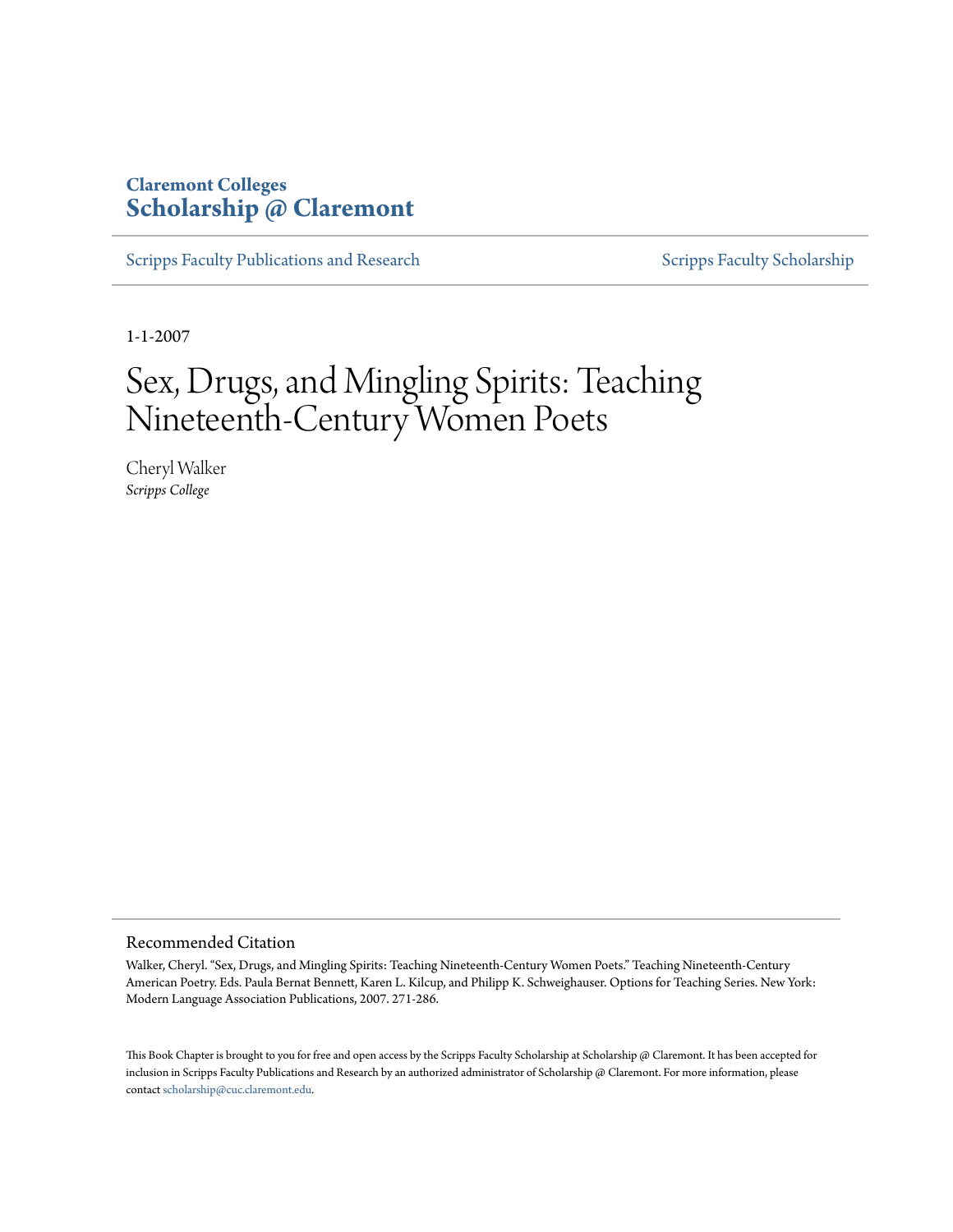# **Claremont Colleges [Scholarship @ Claremont](http://scholarship.claremont.edu)**

[Scripps Faculty Publications and Research](http://scholarship.claremont.edu/scripps_fac_pub) [Scripps Faculty Scholarship](http://scholarship.claremont.edu/scripps_faculty)

1-1-2007

# Sex, Drugs, and Mingling Spirits: Teaching Nineteenth-Century Women Poets

Cheryl Walker *Scripps College*

#### Recommended Citation

Walker, Cheryl. "Sex, Drugs, and Mingling Spirits: Teaching Nineteenth-Century Women Poets." Teaching Nineteenth-Century American Poetry. Eds. Paula Bernat Bennett, Karen L. Kilcup, and Philipp K. Schweighauser. Options for Teaching Series. New York: Modern Language Association Publications, 2007. 271-286.

This Book Chapter is brought to you for free and open access by the Scripps Faculty Scholarship at Scholarship @ Claremont. It has been accepted for inclusion in Scripps Faculty Publications and Research by an authorized administrator of Scholarship @ Claremont. For more information, please contact [scholarship@cuc.claremont.edu](mailto:scholarship@cuc.claremont.edu).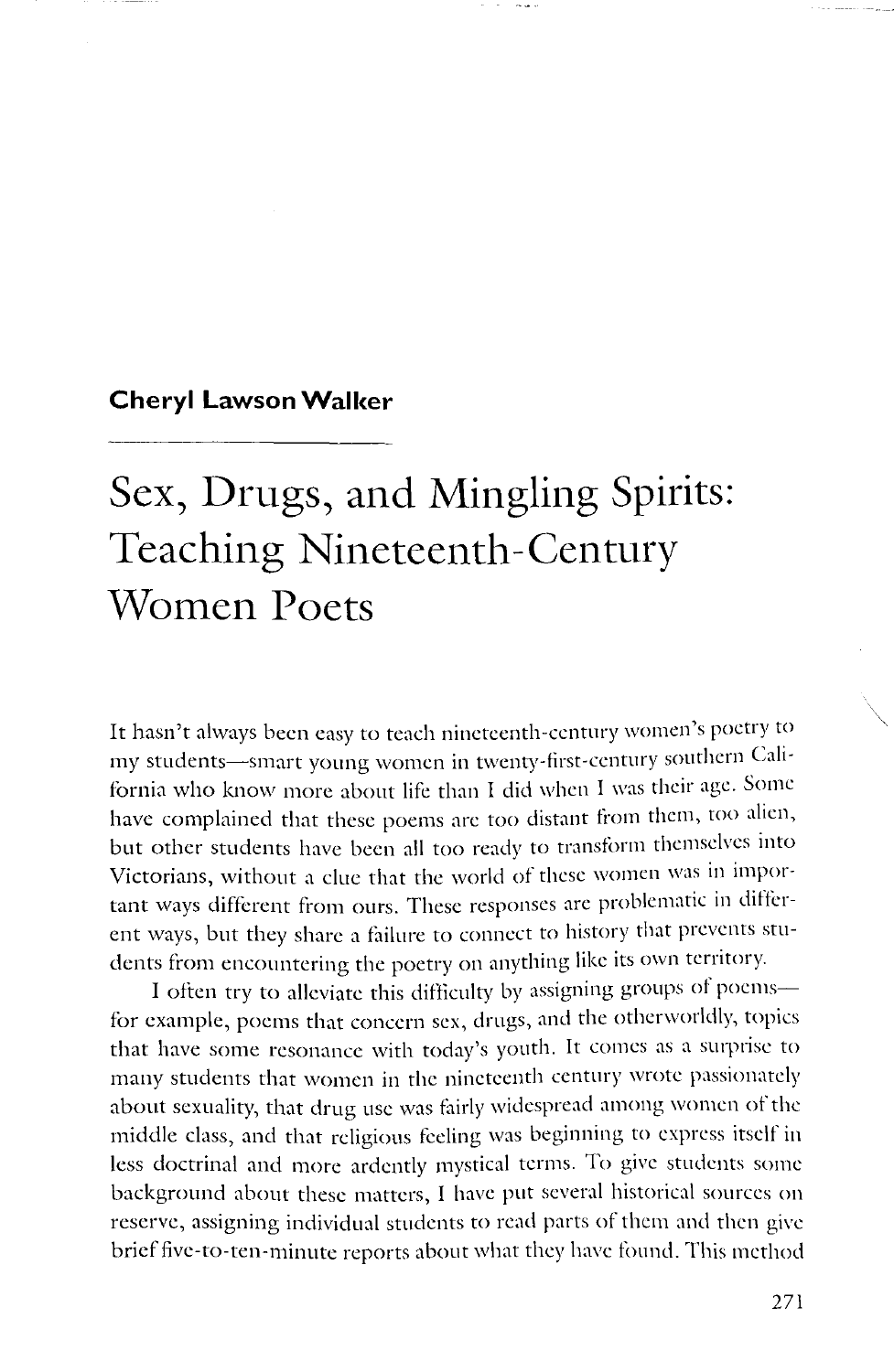### **Cheryl Lawson Walker**

# **Sex, Drugs, and Mingling Spirits: Teaching Nineteenth-Century Women Poets**

It hasn't always been easy to teach nineteenth-century women's poetry to my students-smart young women in twenty-first-century southern California who know more about life than I did when I was their age. Some have complained that these poems are too distant from them, too alien, but other students have been all too ready to transform themselves into Victorians, without a clue that the world of these women was in important ways different from ours. These responses are problematic in different ways, but they share a failure to connect to history that prevents students from encountering the poetry on anything like its own territory.

I often try to alleviate this difficulty by assigning groups of poemsfor example, poems that concern sex, drugs, and the otherworldly, topics that have some resonance with today's youth. It comes as a surprise to many students that women in the nineteenth century wrote passionately about sexuality, that drug use was fairly widespread among women of the middle class, and that religious feeling was beginning to express itself in less doctrinal and more ardently mystical terms. To give students some background about these matters, I have put several historical sources on reserve, assigning individual students to read parts of them and then give brief five-to-ten-minute reports about what they have found. This method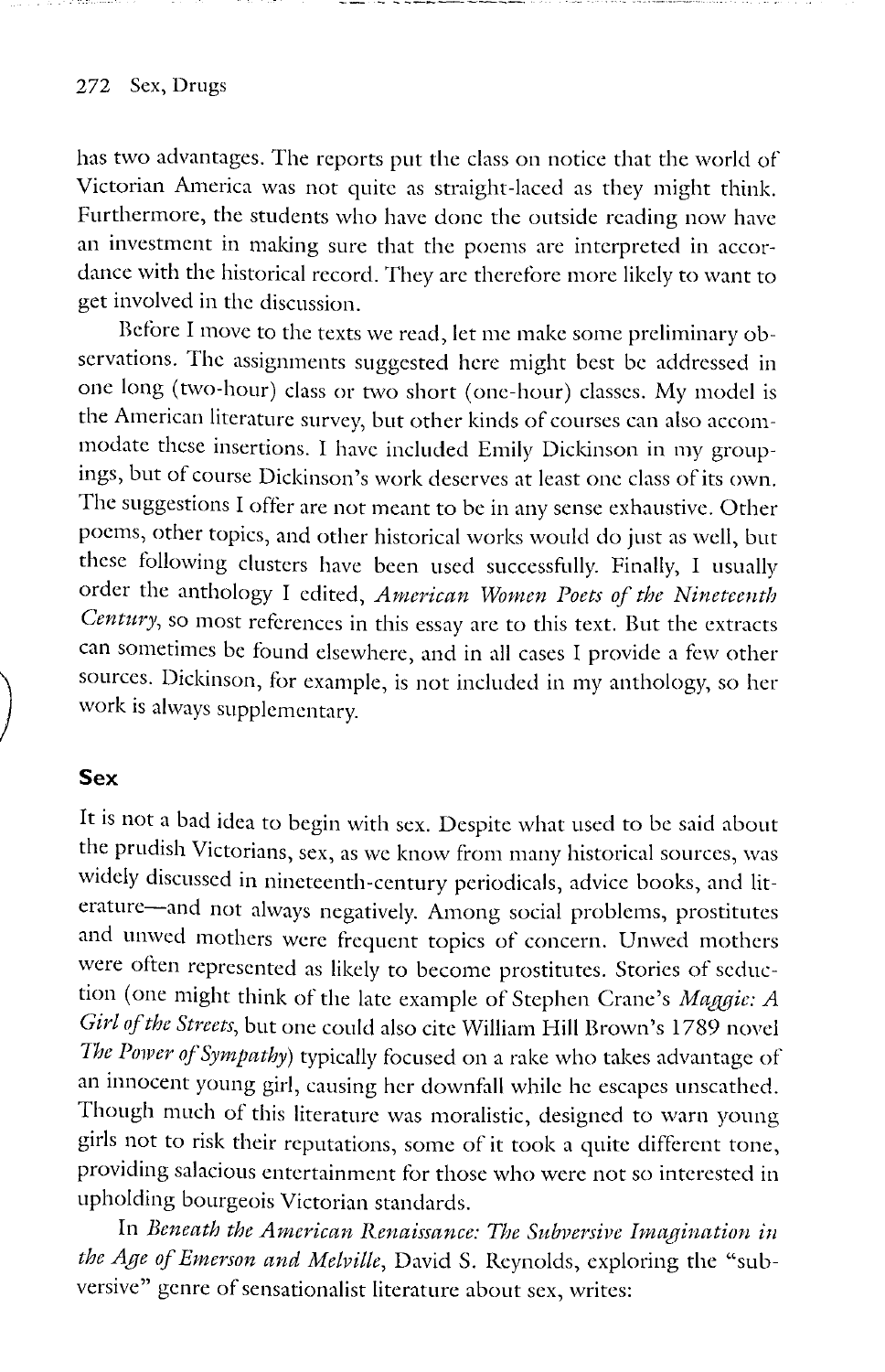#### 272 Sex, Drugs

has two advantages. The reports put the class on notice that the world of Victorian America was not quite as straight-laced as they might think. Furthermore, the students who have done the outside reading now have an investment in making sure that the poems are interpreted in accordance with the historical record. They arc therefore more likely to want to get involved in the discussion.

Before I move to the texts we read, let me make some preliminary observations. The assignments suggested here might best be addressed in one long (two-hour) class or two short (one-hour) classes. My model is the American literature survey, but other kinds of courses can also accommodate these insertions. I have included Emily Dickinson in my groupings, but of course Dickinson's work deserves at least one class of its own. The suggestions I offer are not meant to be in any sense exhaustive. Other poems, other topics, and other historical works would do just as well, but these following clusters have been used successfully. Finally, I usually order the anthology I edited, *American Women Poets of the Nineteenth Century,* so most references in this essay are to this text. But the extracts can sometimes be found elsewhere, and in all cases I provide a few other sources. Dickinson, for example, is not included in my anthology, so her work is always supplementary.

#### **Sex**

 $\Big)$ 

It is not a bad idea to begin with sex. Despite what used to be said about the prudish Victorians, sex, as we know from many historical sources, was widely discussed in nineteenth-century periodicals, advice books, and literature-and not always negatively. Among social problems, prostitutes and unwed mothers were frequent topics of concern. Unwed mothers were often represented as likely to become prostitutes. Stories of seduction (one might think of the late example of Stephen Crane's *Maggie: A Girl of the Streets,* but one could also cite William **Hill** Brown's 1789 novel The Power of Sympathy) typically focused on a rake who takes advantage of an innocent young girl, causing her downfall while he escapes unscathed. Though much of this literature was moralistic, designed to warn young girls not to risk their reputations, some of it took a quite different tone, providing salacious entertainment for those who were not so interested in upholding bourgeois Victorian standards.

In *Beneath the American Renaissance: The Subversive Imagination in* the Age of Emerson and Melville, David S. Reynolds, exploring the "subversive" genre of sensationalist literature about sex, writes: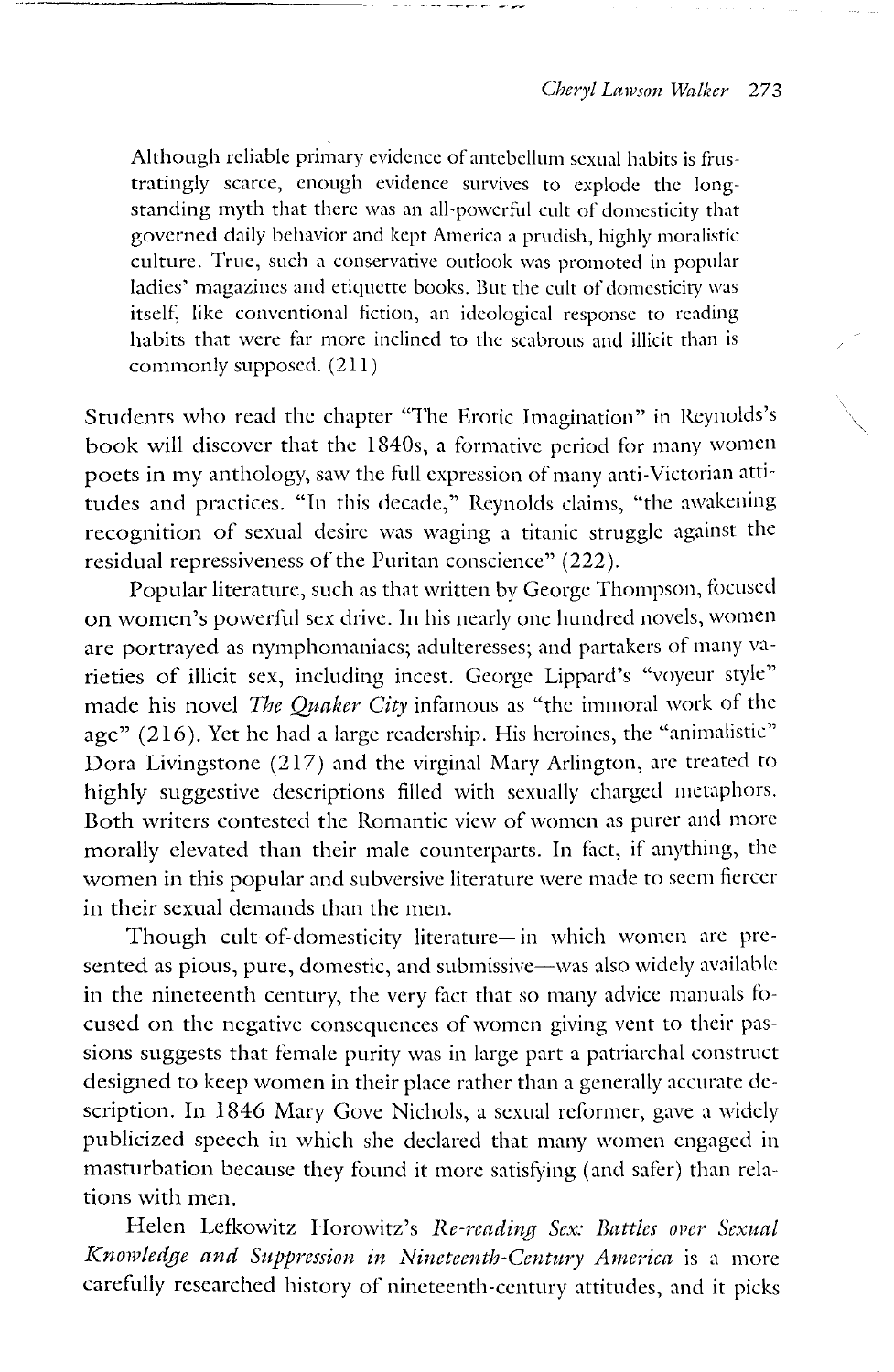Although reliable primary evidence of antebellum sexual habits is frustratingly scarce, enough evidence survives to explode the longstanding myth that there was an all-powerful cult of domesticity that governed daily behavior and kept America a prudish, highly moralistic culture. True, such a conservative outlook was promoted in popular ladies' magazines and etiquette books. But the cult of domesticity was itself, like conventional fiction, an ideological response to reading habits that were far more inclined to the scabrous and illicit than is commonly supposed. (211)

Students who read the chapter "The Erotic Imagination" in Reynolds's book will discover that the 1840s, a formative period for many women poets in my anthology, saw the full expression of many anti-Victorian attitudes and practices. "In this decade," Reynolds claims, "the awakening recognition of sexual desire was waging a titanic struggle against the residual repressiveness of the Puritan conscience" (222).

Popular literature, such as that written by George Thompson, focused on women's powerful sex drive. In his nearly one hundred novels, women are portrayed as nymphomaniacs; adulteresses; and partakers of many varieties of illicit sex, including incest. George Lippard's "voyeur style" made his novel *The Quaker City* infamous as "the immoral work of the age" (216). Yet he had a large readership. His heroines, the "animalistic" Dora Livingstone (217) and the virginal Mary Arlington, arc treated to highly suggestive descriptions filled with sexually charged metaphors. Both writers contested the Romantic view of women as purer and more morally elevated than their male counterparts. In tact, if anything, the women in this popular and subversive literature were made to seem fiercer in their sexual demands than the men.

Though cult-of-domesticity literature-in which women are presented as pious, pure, domestic, and submissive-was also widely available in the nineteenth century, the very fact that so many advice manuals focused on the negative consequences of women giving vent to their passions suggests that female purity was in large part a patriarchal construct designed to keep women in their place rather than a generally accurate description. In 1846 Mary Gove Nichols, a sexual reformer, gave a widely publicized speech in which she declared that many women engaged in masturbation because they found it more satisfying (and safer) than relations with men.

Helen Lefkowitz Horowitz's *Re-reading Sex: Battles over Sexual Knowledge and Suppression in Nineteenth-Century America* is a more carefully researched history of nineteenth-century attitudes, and it picks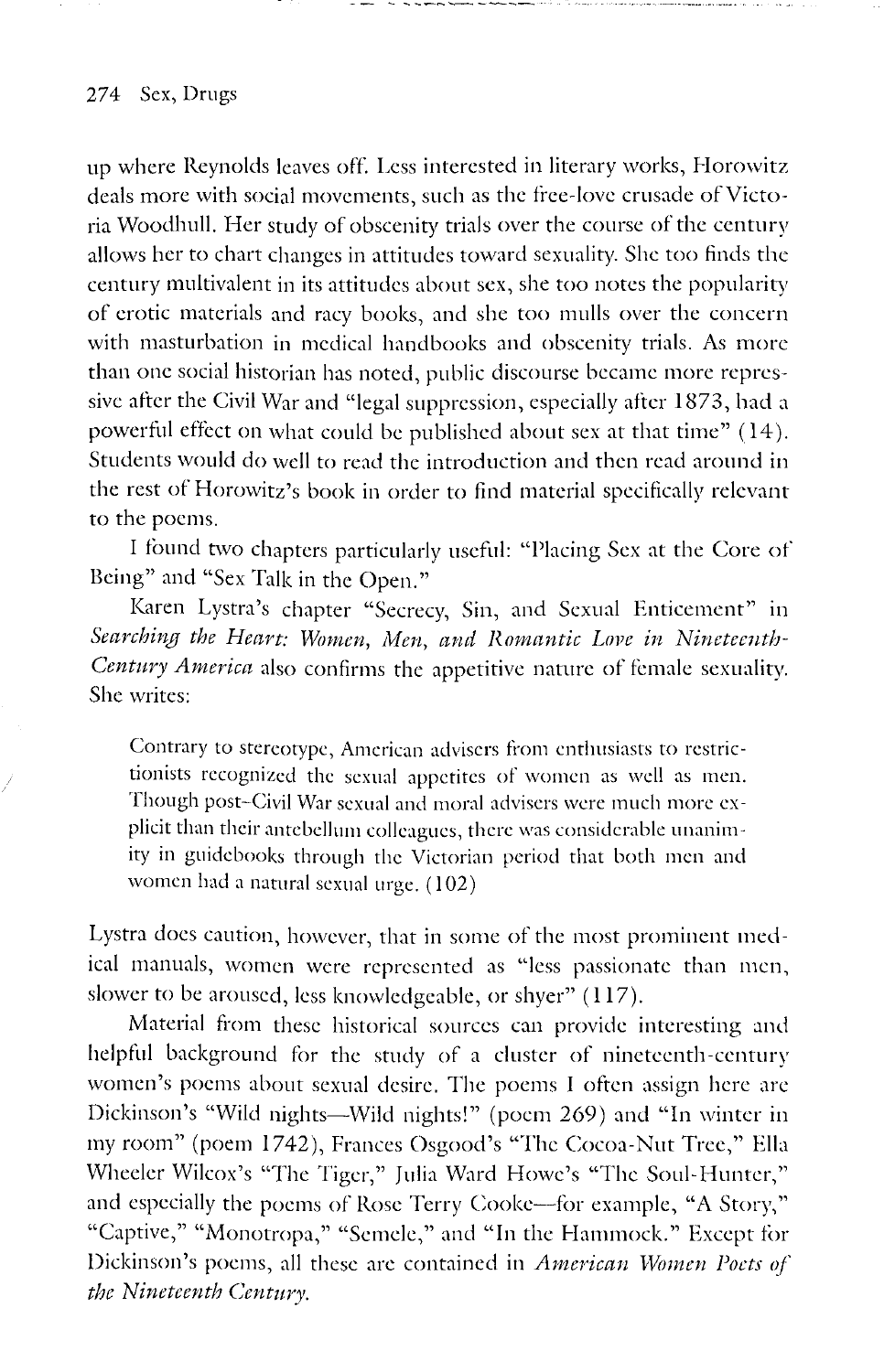#### 274 Sex, Drugs

up where Reynolds leaves off. Less interested in literary works, Horowitz deals more with social movements, such as the free-love crusade of Victoria Woodhull. Her study of obscenity trials over the course of the century allows her to chart changes in attitudes toward sexuality. She too finds the century multivalent in its attitudes about sex, she too notes the popularity of erotic materials and racy books, and she too mulls over the concern with masturbation in medical handbooks and obscenity trials. As more than one social historian has noted, public discourse became more repressive after the Civil War and "legal suppression, especially after 1873, had a powerful effect on what could be published about sex at that time" ( 14 ). Students would do well to read the introduction and then read around in the rest of Horowitz's book in order to find material specifically relevant to the poems.

------

I found two chapters particularly useful: "Placing Sex at the Core of Being" and "Sex Talk in the Open."

Karen Lystra's chapter "Secrecy, Sin, and Sexual Enticement" in Searching the Heart: Women, Men, and Romantic Love in Nineteenth-*Century America* also confirms the appetitive nature of female sexuality. She writes:

Contrary to stereotype, American advisers from enthusiasts to restrictionists recognized the sexual appetites of women as well as men. Though post-Civil War sexual and moral advisers were much more explicit than their antebellum colleagues, there was considerable unanimity in guidebooks through the Victorian period that both men and women had a natural sexual urge. (102)

Lystra docs caution, however, that in some of the most prominent medical manuals, women were represented as "less passionate than men, slower to be aroused, less knowledgeable, or shyer" ( 117).

Material from these historical sources can provide interesting and helpful background for the study of a cluster of nineteenth-century women's poems about sexual desire. The poems I often assign here arc Dickinson's "Wild nights-Wild nights!" (poem 269) and "In winter in my room" (poem 1742), Frances Osgood's "The Cocoa-Nut Tree," Ella Wheeler Wilcox's "The Tiger," Julia Ward Howe's "The Soul-Hunter," and especially the poems of Rose Terry Cooke-for example, "A Story," "Captive," "Monotropa," "Semele," and "In the Hammock." Except for Dickinson's poems, all these are contained in *American Women Poets of the Nineteenth Century.*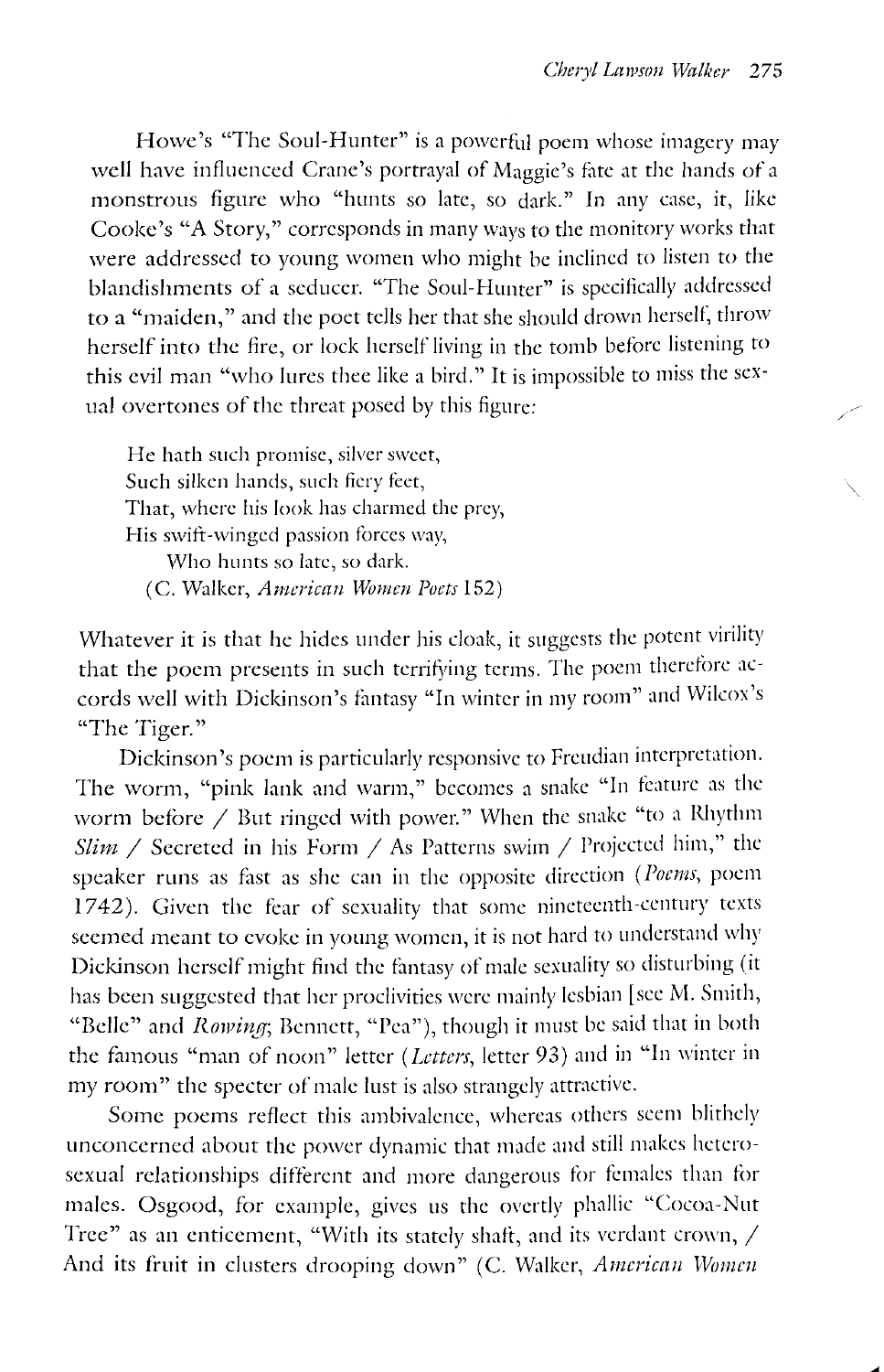Howe's "The Soul-Hunter" is a powerful poem whose imagery may well have influenced Crane's portrayal of Maggie's fate at the hands of a monstrous figure who "hunts so late, so dark." In any case, it, like Cooke's "A Story," corresponds in many ways to the monitory works that were addressed to young women who might be inclined to listen to the blandishments of a seducer. "The Soul-Hunter" is specifically addressed to a "maiden," and the poet tells her that she should drown herself, throw herself into the fire, or lock herself living in the tomb before listening to this evil man "who lures thee like a bird." It is impossible to miss the sexual overtones of the threat posed by this figure:

He hath such promise, silver sweet, Such silken hands, such fiery feet, That, where his look has charmed the prey, His swift-winged passion forces way, Who hunts so late, so dark. (C. Walker, *American Wimzen Poets* 152)

Whatever it is that he hides under his cloak, it suggests the potent virility that the poem presents in such terrifying terms. The poem therefore accords well with Dickinson's fantasy "In winter in my room" and Wilcox's "The Tiger."

Dickinson's poem is particularly responsive to Freudian interpretation. The worm, "pink lank and warm," becomes a snake "In feature as the worm before  $\angle$  But ringed with power." When the snake "to a Rhythm *Slim / Secreted in his Form / As Patterns swim / Projected him," the* speaker runs as fast as she can in the opposite direction ( *Poons,* poem 1742). Given the fear of sexuality that some nineteenth-century texts seemed meant to evoke in young women, it is not hard to understand why Dickinson herself might find the fantasy of male sexuality so disturbing (it has been suggested that her proclivities were mainly lesbian [sec M. Smith, "Belle" and Rowing; Bennett, "Pea"), though it must be said that in both the famous "man of noon" letter *(Letters*, letter 93) and in "In winter in my room" the specter of male lust is also strangely attractive.

Some poems reflect this ambivalence, whereas others seem blithely unconcerned about the power dynamic that made and still makes heterosexual relationships different and more dangerous for females than for males. Osgood, for example, gives us the overtly phallic "Cocoa-Nut Tree" as an enticement, "With its stately shaft, and its verdant crown, / And its fruit in clusters drooping down" (C. Walker, *American Women*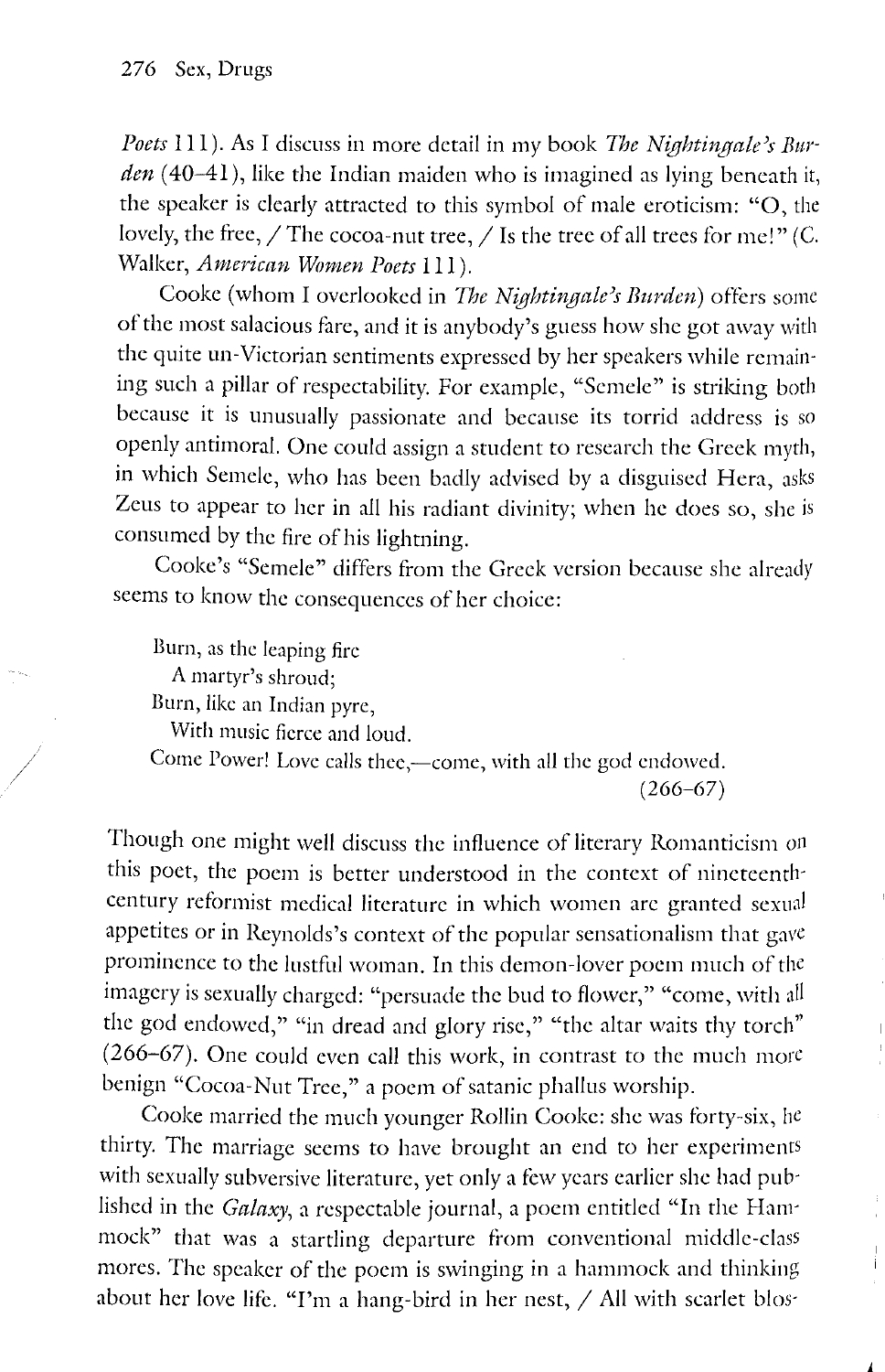*Poets* Ill). As I discuss in more detail in my book *The Nightingale)s Bur*den (40-41), like the Indian maiden who is imagined as lying beneath it, the speaker is clearly attracted to this symbol of male eroticism: "0, the lovely, the free,  $/$  The cocoa-nut tree,  $/$  Is the tree of all trees for me!" (C. Walker, *American Women Poets* 111).

Cooke (whom I overlooked in *The Nightingale's Burden*) offers some of the most salacious fare, and it is anybody's guess how she got away with the quite un-Victorian sentiments expressed by her speakers while remaining such a pillar of respectability. For example, "Semele" is striking both because it is unusually passionate and because its torrid address is so openly antimoral. One could assign a student to research the Greek myth, in which Semele, who has been badly advised by a disguised Hera, asks Zeus to appear to her in all his radiant divinity; when he does so, she is consumed by the fire of his lightning.

Cooke's "Semele" differs from the Greek version because she already seems to know the consequences of her choice:

Burn, as the leaping fire A martyr's shroud; Burn, like an Indian pyre, With music fierce and loud.

Come Power! Love calls thee,—come, with all the god endowed.  $(266 - 67)$ 

Though one might well discuss the influence of literary Romanticism on this poet, the poem is better understood in the context of nineteenth· century reformist medical literature in which women are granted sexual appetites or in Reynolds's context of the popular sensationalism that gave prominence to the lustful woman. In this demon-lover poem much of the imagery is sexually charged: "persuade the bud to flower," "come, with all the god endowed," "in dread and glory rise," "the altar waits thy torch" (266-67). One could even call this work, in contrast to the much more benign "Cocoa-Nut Tree," a poem of satanic phallus worship.

Cooke married the much younger Rollin Cooke: she was forty-six, he thirty. The marriage seems to have brought an end to her experiments with sexually subversive literature, yet only a few years earlier she had published in the *Galaxy,* a respectable journal, a poem entitled "In the Hammock" that was a startling departure from conventional middle-class mores. The speaker of the poem is swinging in a hammock and thinking about her love life. "I'm a hang-bird in her nest,  $/$  All with scarlet blos-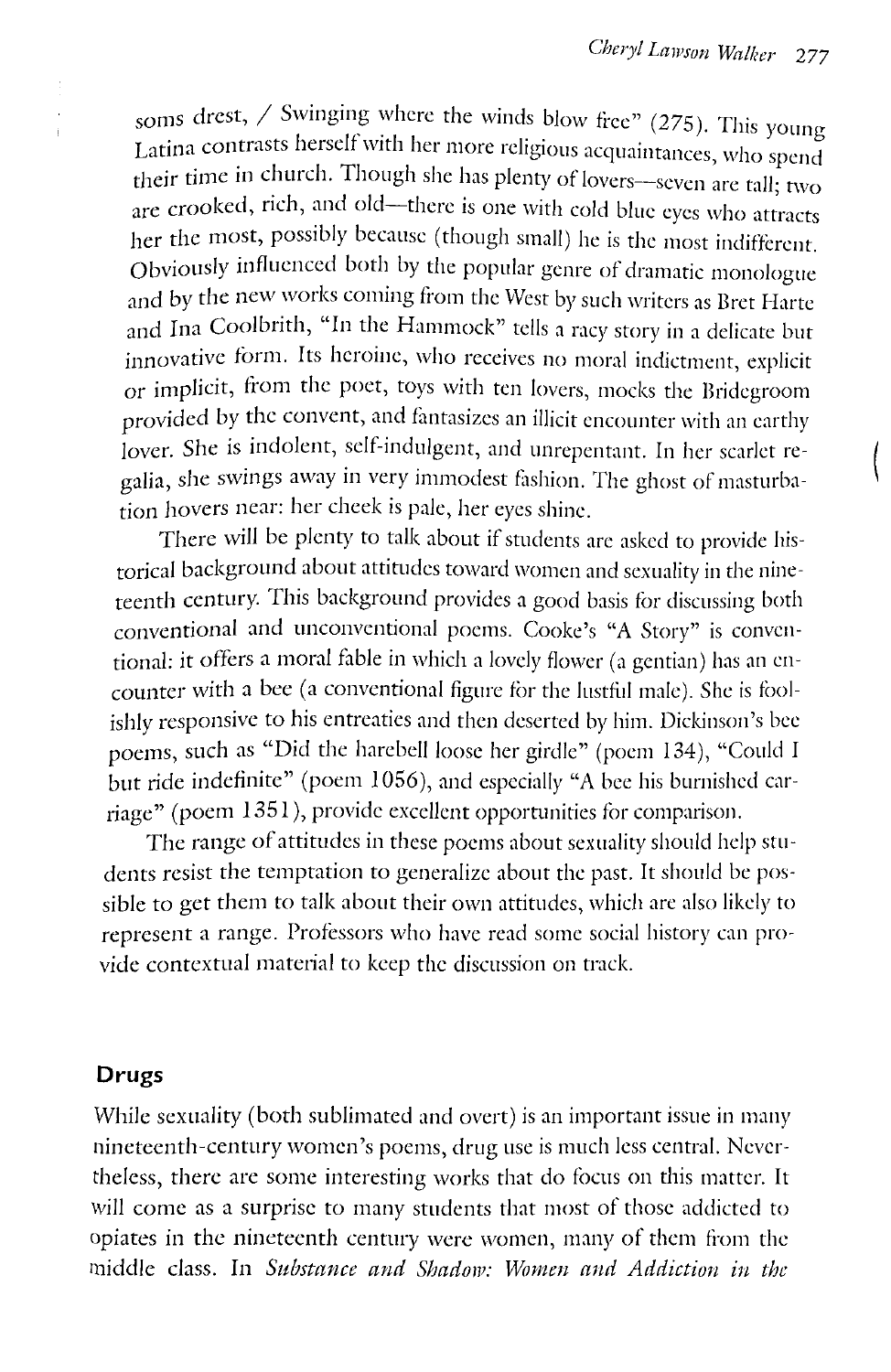soms drest, / Swinging where the winds blow free" (275). This young Latina contrasts herself with her more religious acquaintances, who spend their time in church. Though she has plenty of lovers-seven are tall; two are crooked, rich, and old-there is one with cold blue eyes who attracts her the most, possibly because (though small) he is the most indifferent. Obviously influenced both by the popular genre of dramatic monologue and by the new works coming from the West by such writers as Bret Harte and Ina Coolbrith, "In the Hammock" tells a racy story in a delicate but innovative form. Its heroine, who receives no moral indictment, explicit or implicit, from the poet, toys with ten lovers, mocks the Bridegroom provided by the convent, and fantasizes an illicit encounter with an earthy lover. She is indolent, self-indulgent, and unrepentant. In her scarlet regalia, she swings away in very immodest fashion. The ghost of masturbation hovers near: her cheek is pale, her eyes shine.

There will be plenty to talk about if students are asked to provide historical background about attitudes toward women and sexuality in the nineteenth century. This background provides a good basis tor discussing both conventional and unconventional poems. Cooke's "A Story" is conventional: it offers a moral fable in which a lovely flower (a gentian) has an encounter with a bee (a conventional figure for the lustful male). She is foolishly responsive to his entreaties and then deserted by him. Dickinson's bee poems, such as "Did the harebell loose her girdle" (poem 134), "Could I but ride indefinite" (poem 1056), and especially "A bee his burnished carriage" (poem 1351), provide excellent opportunities for comparison.

The range of attitudes in these poems about sexuality should help students resist the temptation to generalize about the past. It should be possible to get them to talk about their own attitudes, which are also likely to represent a range. Professors who have read some social history can provide contextual material to keep the discussion on track.

#### **Drugs**

While sexuality (both sublimated and overt) is an important issue in many nineteenth-century women's poems, drug use is much less central. Nevertheless, there are some interesting works that do focus on this matter. It will come as a surprise to many students that most of those addicted to opiates in the nineteenth century were women, many of them from the middle class. In *Substance and Shadow: Women and Addiction in the*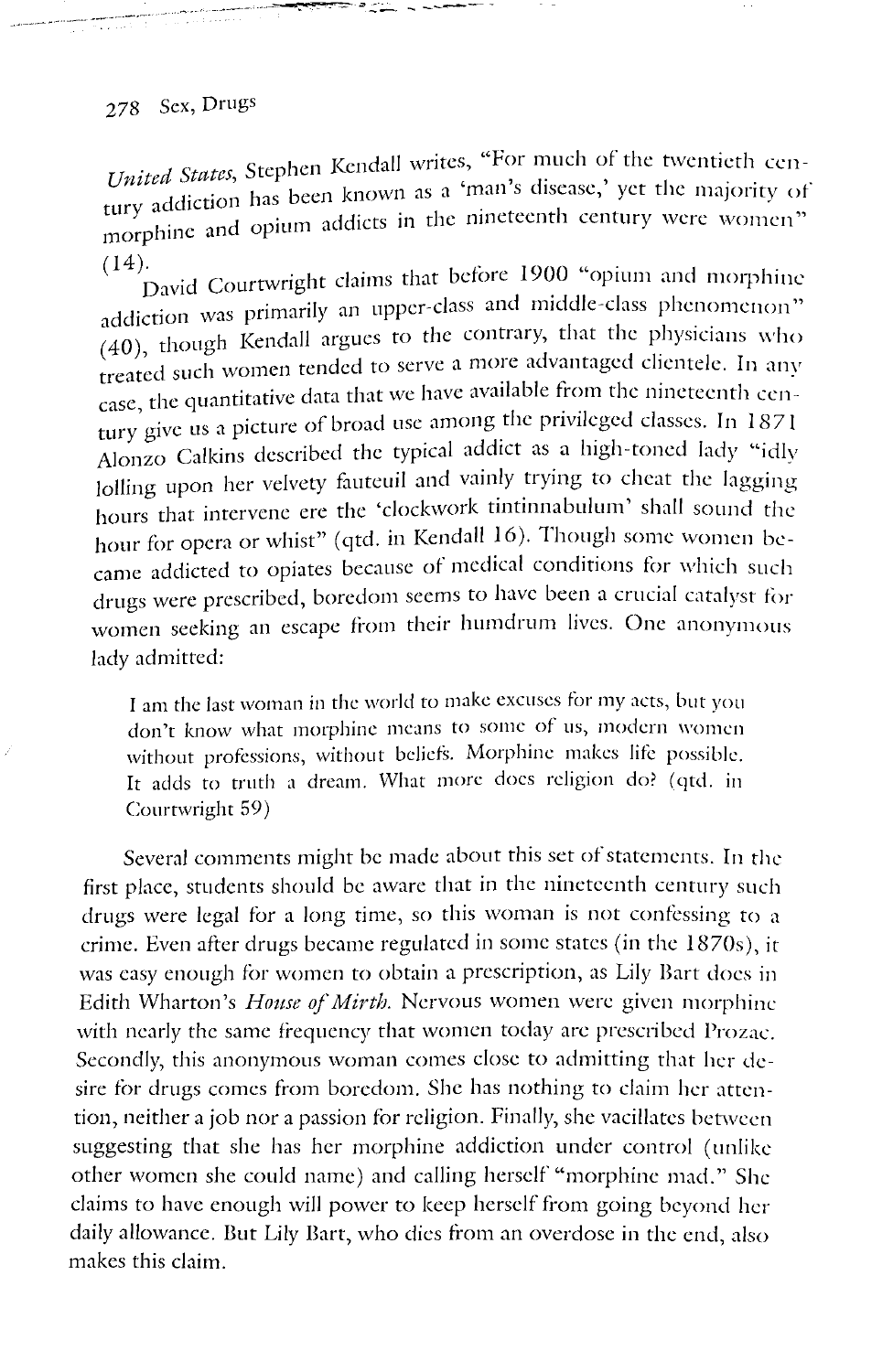# 278 Sex, Drugs

-· ··------··-- *:11* ..:;....\_ - ------~--

United States, Stephen Kendall writes, "For much of the twentieth cen- $U$ <sup>1</sup>  $\mu$  based  $\mu$  been known as a 'man's disease,' yet the majority of  $\mu$ tury address

 $(14)$ . David Courtwright claims that before 1900 "opium and morphine addiction was primarily an upper-class and middle-class phenomenon" (40), though Kendall argues to the contrary, that the physicians who treated such women tended to serve a more advantaged clientele. In any case, the quantitative data that we have available from the nineteenth century give us a picture of broad use among the privileged classes. In  $1871$ Alonzo Calkins described the typical addict as a high-toned lady "idly lolling upon her velvety fauteuil and vainly trying to cheat the lagging hours that intervene ere the 'clockwork tintinnabulum' shall sound the hour for opera or whist" (qtd. in Kendall 16). Though some women became addicted to opiates because of medical conditions for which such drugs were prescribed, boredom seems to have been a crucial catalyst for women seeking an escape from their humdrum lives. One anonymous lady admitted:

I am the last woman in the world to make excuses for my acts, but you don't know what morphine means to some of us, modern women without professions, without beliefs. Morphine makes life possible. It adds to truth a dream. What more docs religion do? *(* qtd. in Courtwright 59)

Several comments might be made about this set of statements. In the first place, students should be aware that in the nineteenth century such drugs were legal for a long time, so this woman is not confessing to a crime. Even after drugs became regulated in some states (in the 1870s), it was easy enough for women to obtain a prescription, as Lily Bart does in Edith Wharton's *House of Mirth.* Nervous women were given morphine with nearly the same frequency that women today are prescribed Prozac. Secondly, this anonymous woman comes close to admitting that her desire for drugs comes from boredom. She has nothing to claim her attention, neither a job nor a passion for religion. Finally, she vacillates between suggesting that she has her morphine addiction under control (unlike other women she could name) and calling herself "morphine mad." She claims to have enough will power to keep herself from going beyond her daily allowance. But Lily Bart, who dies ffom an overdose in the end, also makes this claim.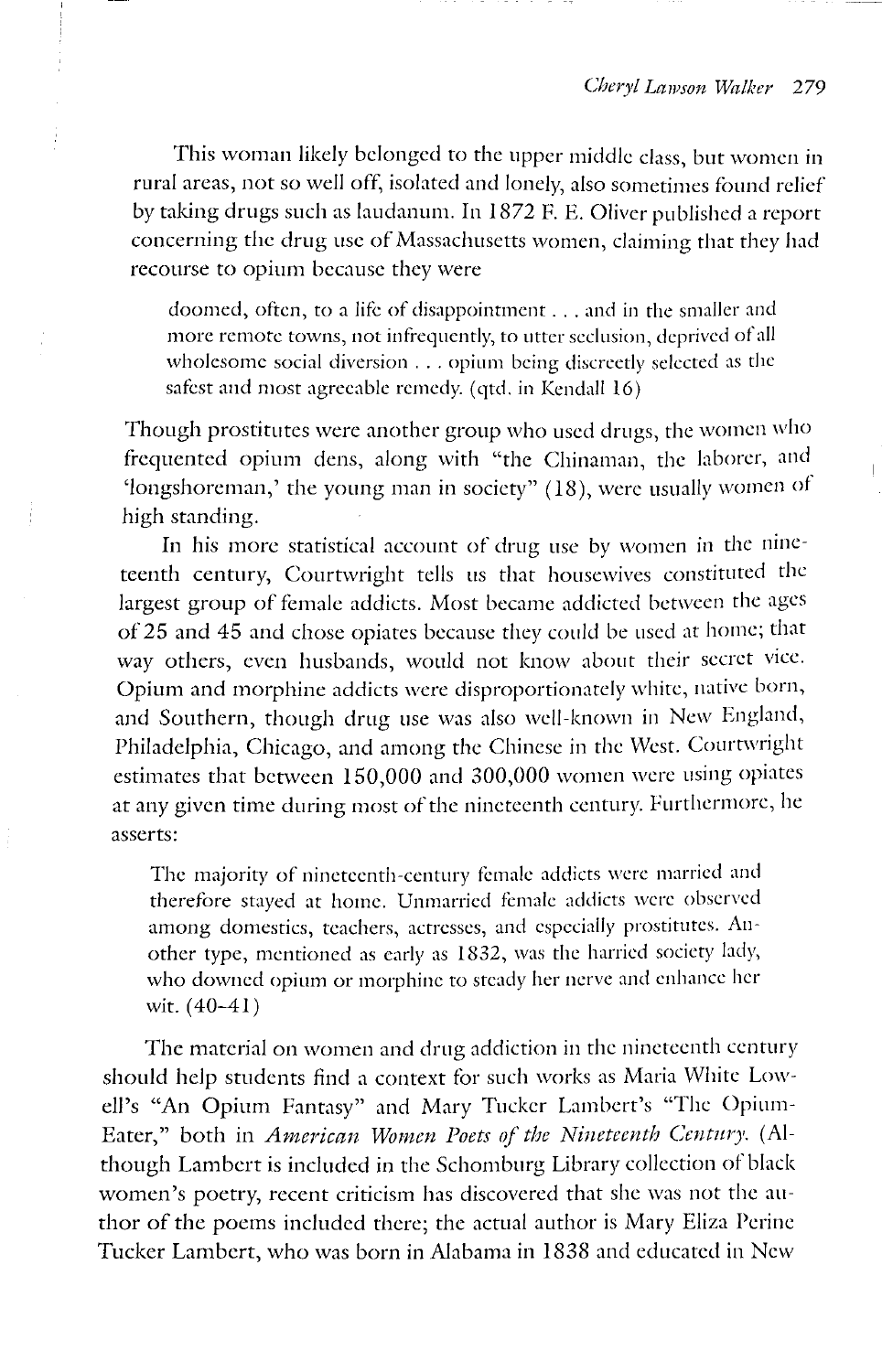This woman likely belonged to the upper middle class, but women in rural areas, not so well off, isolated and lonely, also sometimes found relief by taking drugs such as laudanum. In 1872 F. E. Oliver published a report concerning the drug usc of Massachusetts women, claiming that they had recourse to opium because they were

doomed, often, to a life of disappointment . . . and in the smaller and more remote towns, not infrequently, to utter seclusion, deprived of all wholesome social diversion ... opium being discreetly selected as the safest and most agreeable remedy. ( qtd. in Kendall 16)

Though prostitutes were another group who used drugs, the women who frequented opium dens, along with "the Chinaman, the laborer, and 'longshoreman,' the young man in society" (18), were usually women of high standing.

In his more statistical account of drug use by women in the nineteenth century, Courtwright tells us that housewives constituted the largest group of female addicts. Most became addicted between the ages of 25 and 45 and chose opiates because they could be used at home; that way others, even husbands, would not know about their secret vice. Opium and morphine addicts were disproportionately white, native born, and Southern, though drug use was also well-known in New England, Philadelphia, Chicago, and among the Chinese in the West. Courtwright estimates that between 150,000 and 300,000 women were using opiates at any given time during most of the nineteenth century. furthermore, he asserts:

The majority of nineteenth-century female addicts were married and therefore stayed at home. Unmarried female addicts were observed among domestics, teachers, actresses, and especially prostitutes. Another type, mentioned as early as 1832, was the harried society lady, who downed opium or morphine to steady her nerve and enhance her wit.  $(40 - 41)$ 

The material on women and drug addiction in the nineteenth century should help students find a context for such works as Maria White Lowell's "An Opium Fantasy" and Mary Tucker Lambert's "The Opium-Eater," both in *American Women Poets of the Nineteenth Century.* (Although Lambert is included in the Schomburg Library collection of black women's poetry, recent criticism has discovered that she was not the author of the poems included there; the actual author is Mary Eliza Perine Tucker Lambert, who was born in Alabama in 1838 and educated in New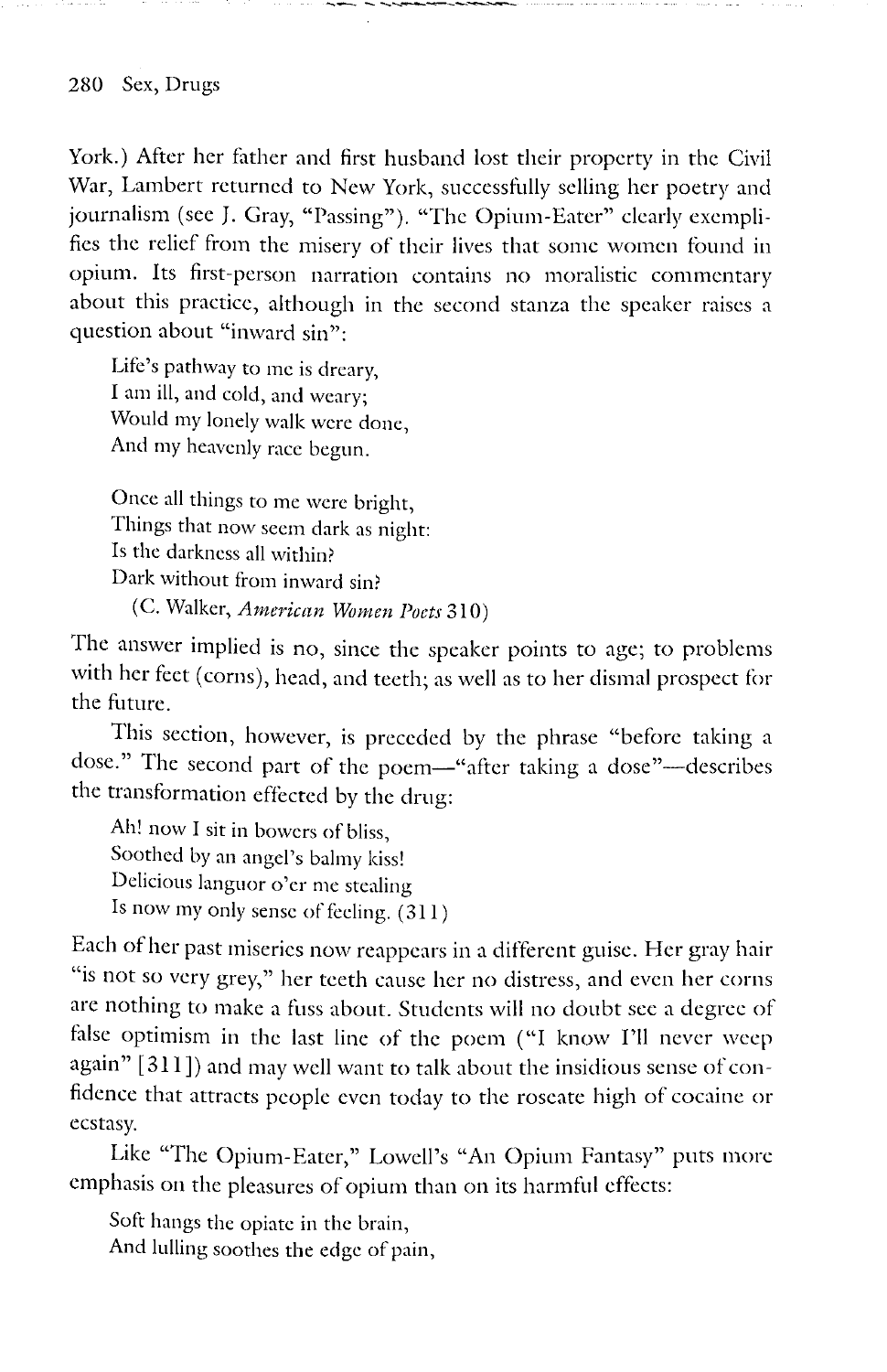York.) After her father and first husband lost their property in the Civil War, Lambert returned to New York, successfully selling her poetry and journalism (see J. Gray, "Passing"). "The Opium-Eater" clearly exemplifies the relief from the misery of their lives that some women found in opium. Its first-person narration contains no moralistic commentary about this practice, although in the second stanza the speaker raises a question about "inward sin":

Life's pathway to me is dreary, I am ill, and cold, and weary; Would my lonely walk were done, And my heavenly race begun.

Once all things to me were bright, Things that now seem dark as night: Is the darkness all within? Dark without from inward sin? (C. Walker, *American Women Poets* 310)

The answer implied is no, since the speaker points to age; to problems with her feet (corns), head, and teeth; as well as to her dismal prospect for the future.

This section, however, is preceded by the phrase "before taking a dose." The second part of the poem-"after taking a dose"-describes the transformation effected by the drug:

Ah! now I sit in bowers of bliss, Soothed by an angel's balmy kiss! Delicious languor o'er me stealing Is now my only sense of feeling. ( 311)

Each of her past miseries now reappears in a different guise. Her gray hair "is not so very grey," her teeth cause her no distress, and even her corns are nothing to make a fuss about. Students will no doubt see a degree of false optimism in the last line of the poem ("I know I'll never weep again" [ 311]) and may well want to talk about the insidious sense of confidence that attracts people even today to the roseate high of cocaine or ecstasy.

Like "The Opium-Eater," Lowell's "An Opium Fantasy" puts more emphasis on the pleasures of opium than on its harmful effects:

Soft hangs the opiate in the brain, And lulling soothes the edge of pain,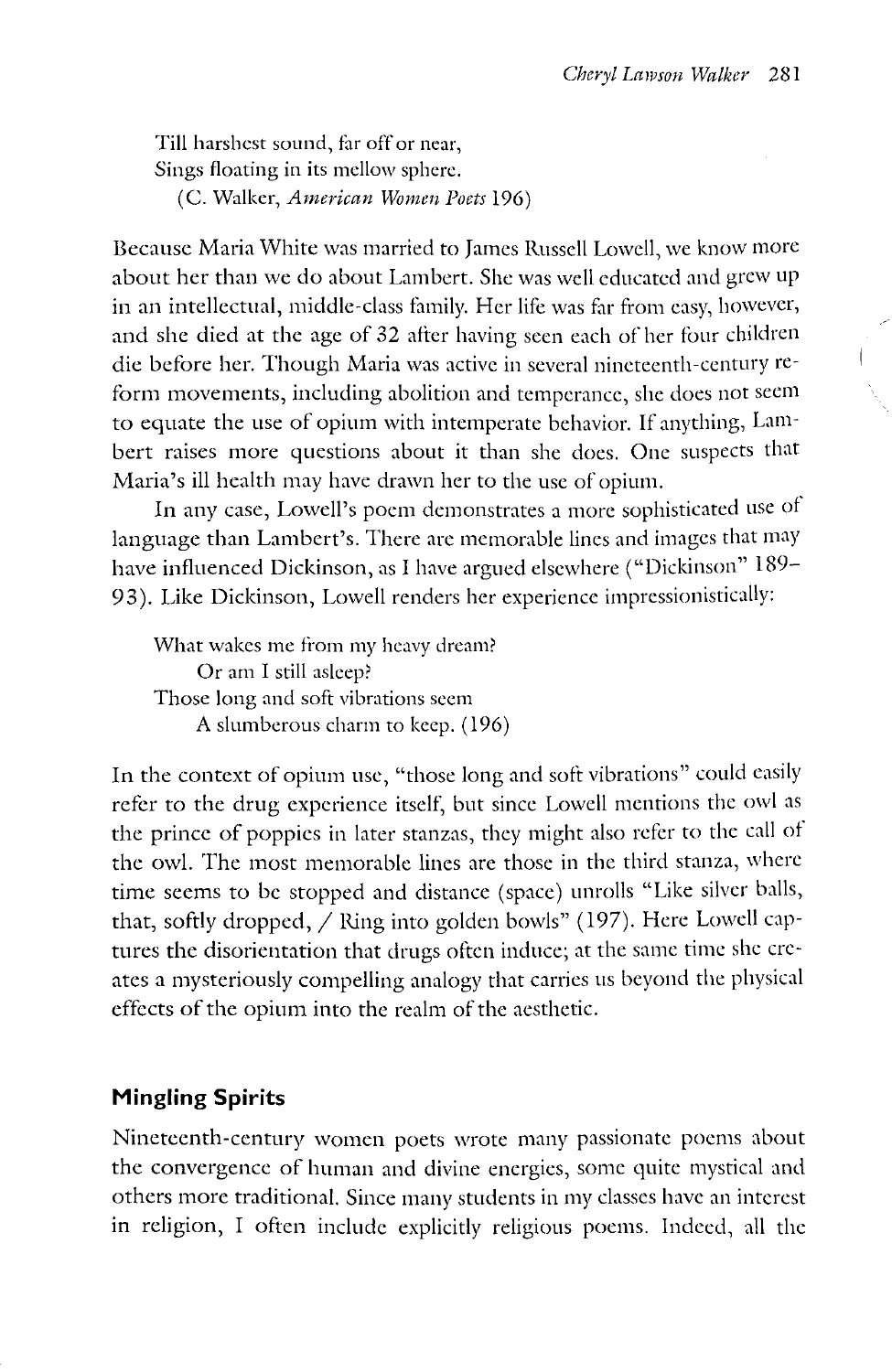Till harshest sound, far off or ncar, Sings floating in its mellow sphere. (C. Walker, *American Women Poets* 196)

Because Maria White was married to James Russell Lowell, we know more about her than we do about Lambert. She was well educated and grew up in an intellectual, middle-class family. Her life was far from easy, however, and she died at the age of 32 after having seen each of her tour children die before her. Though Maria was active in several nineteenth-century reform movements, including abolition and temperance, she does not seem to equate the use of opium with intemperate behavior. If anything, Lambert raises more questions about it than she does. One suspects that Maria's ill health may have drawn her to the use of opium.

In any case, Lowell's poem demonstrates a more sophisticated use of language than Lambert's. There arc memorable lines and images that may have influenced Dickinson, as I have argued elsewhere ("Dickinson" 189-93). Like Dickinson, Lowell renders her experience impressionistically:

What wakes me from my heavy dream? Or am I still asleep? Those long and soft vibrations seem A slumberous charm to keep. (196)

In the context of opium usc, "those long and soft vibrations" could easily refer to the drug experience itself, but since Lowell mentions the owl as the prince of poppies in later stanzas, they might also refer to the call of the owl. The most memorable lines are those in the third stanza, where time seems to be stopped and distance (space) unrolls "Like silver balls, that, softly dropped, / Ring into golden bowls" (197). Here Lowell captures the disorientation that drugs often induce; at the same time she creates a mysteriously compelling analogy that carries us beyond the physical effects of the opium into the realm of the aesthetic.

### **Mingling Spirits**

Nineteenth-century women poets wrote many passionate poems about the convergence of human and divine energies, some quite mystical and others more traditional. Since many students in my classes have an interest in religion, I often include explicitly religious poems. Indeed, all the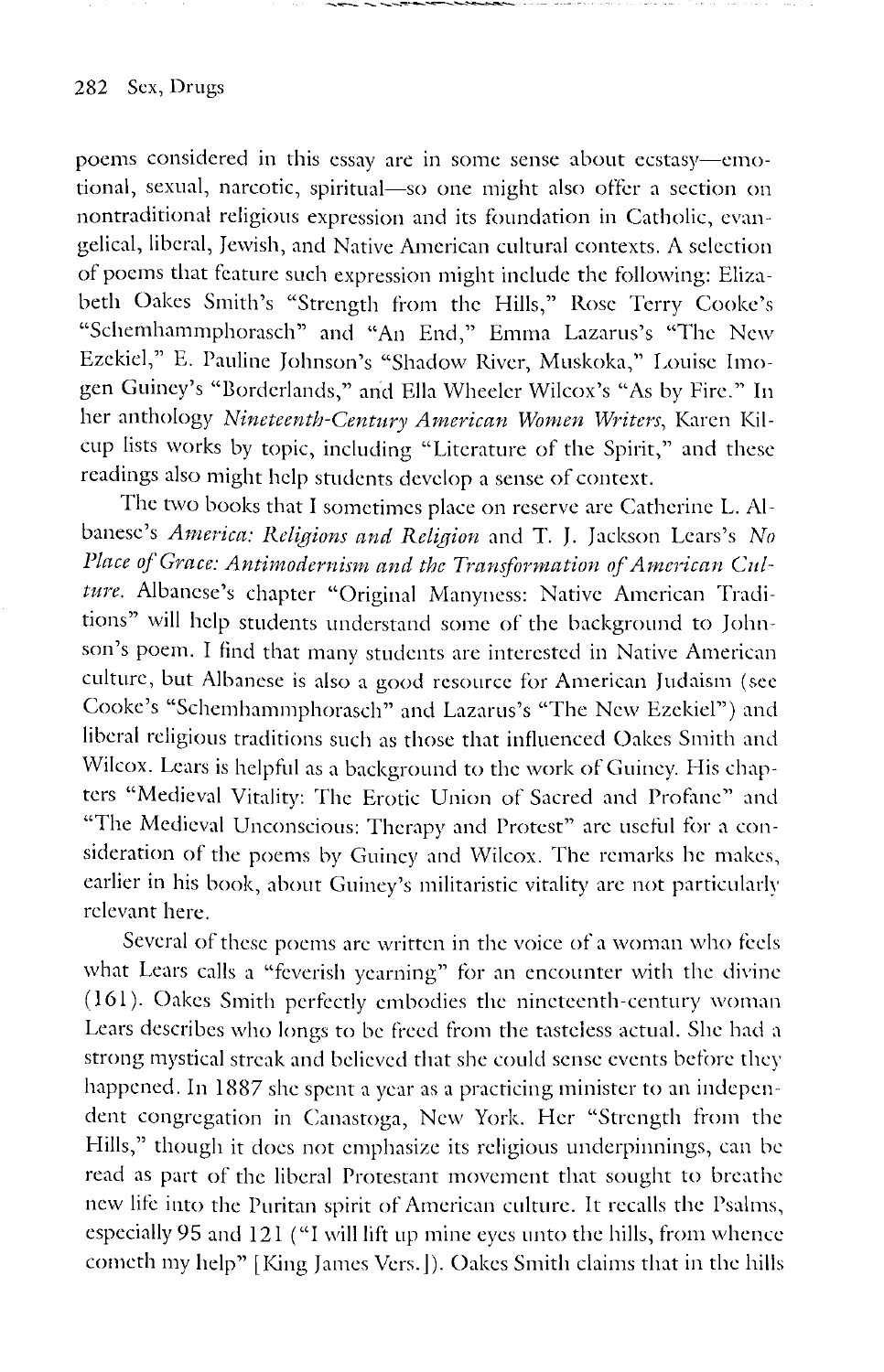poems considered in this essay are in some sense about ecstasy-emotional, sexual, narcotic, spiritual-so one might also offer a section on nontraditional religious expression and its foundation in Catholic, evangelical, liberal, Jewish, and Native American cultural contexts. A selection of poems that feature such expression might include the following: Elizabeth Oakes Smith's "Strength from the Hills," Rose Terry Cooke's "Schemhammphorasch" and "An End," Emma Lazarus's "The New Ezekiel," E. Pauline Johnson's "Shadow River, Muskoka," Louise Imogen Guiney's "Borderlands," and Ella Wheeler Wilcox's "As by Fire." In her anthology *Nineteenth-Century American Women Writers,* Karen Kilcup lists works by topic, including "Literature of the Spirit," and these readings also might help students develop a sense of context.

the party of the state of the South Council and

The two books that I sometimes place on reserve are Catherine L. Albanese's *America: Religions and Religion* and T. J. Jackson Lcars's *No*  Place of Grace: Antimodernism and the Transformation of American Culture. Albanese's chapter "Original Manyness: Native American Traditions" will help students understand some of the background to Johnson's poem. I find that many students are interested in Native American culture, but Albanese is also a good resource for American Judaism (sec Cooke's "Schemhammphorasch" and Lazarus's "The New Ezekiel") and liberal religious traditions such as those that influenced Oakes Smith and Wilcox. Lears is helpful as a background to the work of Guiney. His chapters "Medieval Vitality: The Erotic Union of Sacred and Profane" and "The Medieval Unconscious: Therapy and Protest" are useful for a consideration of the poems by Guiney and Wilcox. The remarks he makes, earlier in his book, about Guiney's militaristic vitality arc not particularly relevant here.

Several of these poems arc written in the voice of a woman who feels what Lears calls a "feverish yearning" for an encounter with the divine (161). Oakes Smith perfectly embodies the nineteenth-century woman Lears describes who longs to be freed from the tasteless actual. She had a strong mystical streak and believed that she could sense events before they happened. In 1887 she spent a year as a practicing minister to an independent congregation in Canastoga, New York. Her "Strength from the Hills," though it docs not emphasize its religious underpinnings, can be read as part of the liberal Protestant movement that sought to breathe new lite into the Puritan spirit of American culture. It recalls the Psalms, especially 95 and 121 ("I will lift up mine eyes unto the hills, from whence cometh my help" [King James Vers.]). Oakes Smith claims that in the hills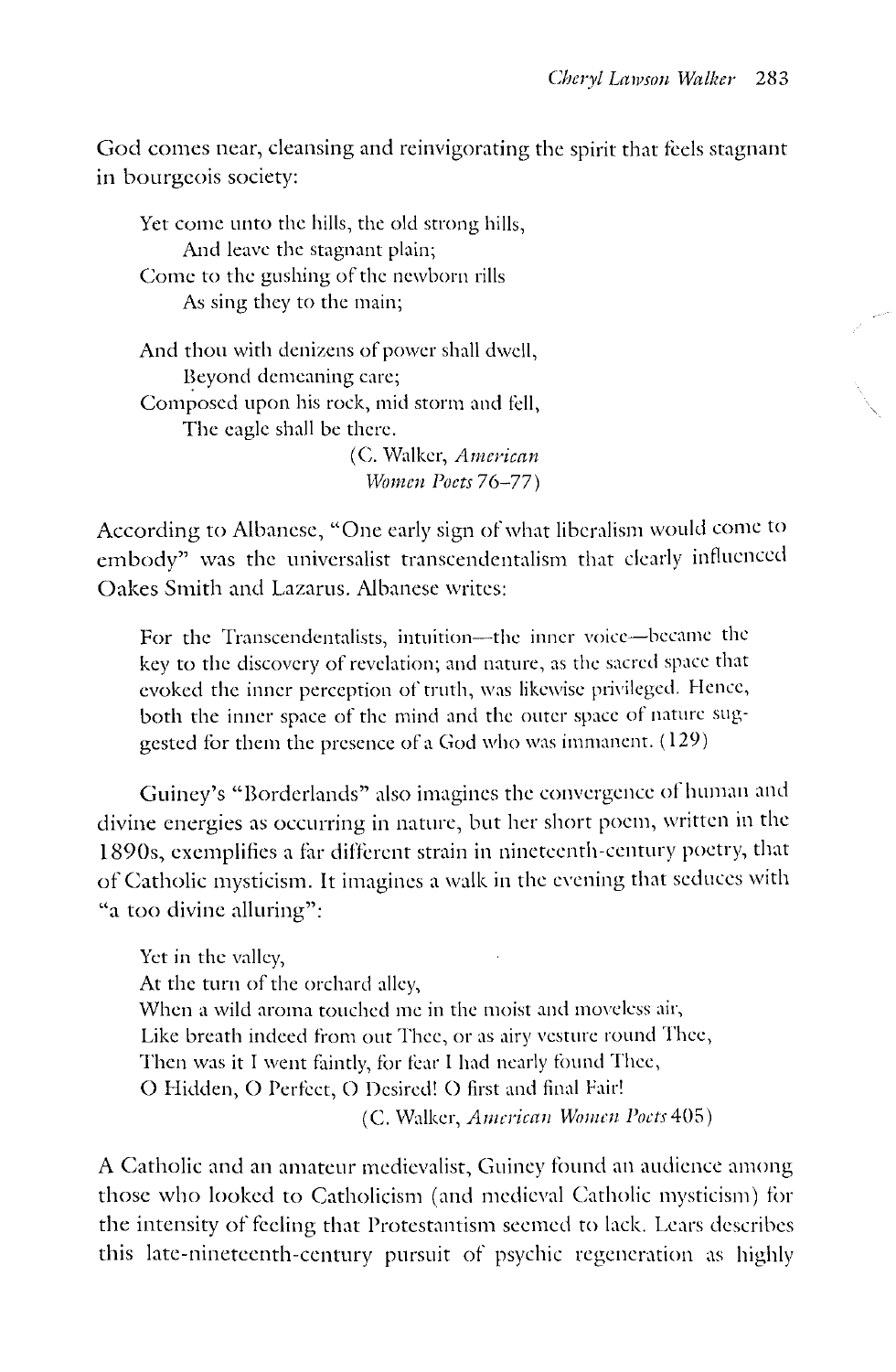God comes near, cleansing and reinvigorating the spirit that feels stagnant in bourgeois society:

Yet come unto the hills, the old strong hills, And leave the stagnant plain; Come to the gushing of the newborn rills As sing they to the main; And thou with denizens of power shall dwell, Beyond demeaning care; Composed upon his rock, mid storm and fell, The eagle shall be there. (C. Walker, *Anzei'ican Women Poets* 76-77)

According to Albanese, "One early sign of what liberalism would come to embody" was the universalist transcendentalism that clearly influenced Oakes Smith and Lazarus. Albanese writes:

For the Transcendentalists, intuition-the inner voice-became the key to the discovery of revelation; and nature, as the sacred space that evoked the inner perception of truth, was likewise privileged. Hence, both the inner space of the mind and the outer space of nature suggested for them the presence of a God who was immanent. ( 129)

Guiney's "Borderlands" also imagines the convergence of human and divine energies as occurring in nature, but her short poem, written in the 1890s, exemplifies a tar different strain in nineteenth-century poetry, that of Catholic mysticism. It imagines a walk in the evening that seduces with "a too divine alluring":

Yet in the valley, At the turn of the orchard alley, When a wild aroma touched me in the moist and moveless air, Like breath indeed from out Thee, or as airy vesture round Thee, Then was it I went faintly, for fear I had nearly found Thee, 0 Hidden, 0 Perfect, 0 Desired! 0 first and final Pair! (C. Walker, *American Womm l'octs* 405)

A Catholic and an amateur medievalist, Guiney found an audience among those who looked to Catholicism (and medieval Catholic mysticism) for the intensity of feeling that Protestantism seemed to lack. Lears describes this late-nineteenth-century pursuit of psychic regeneration as highly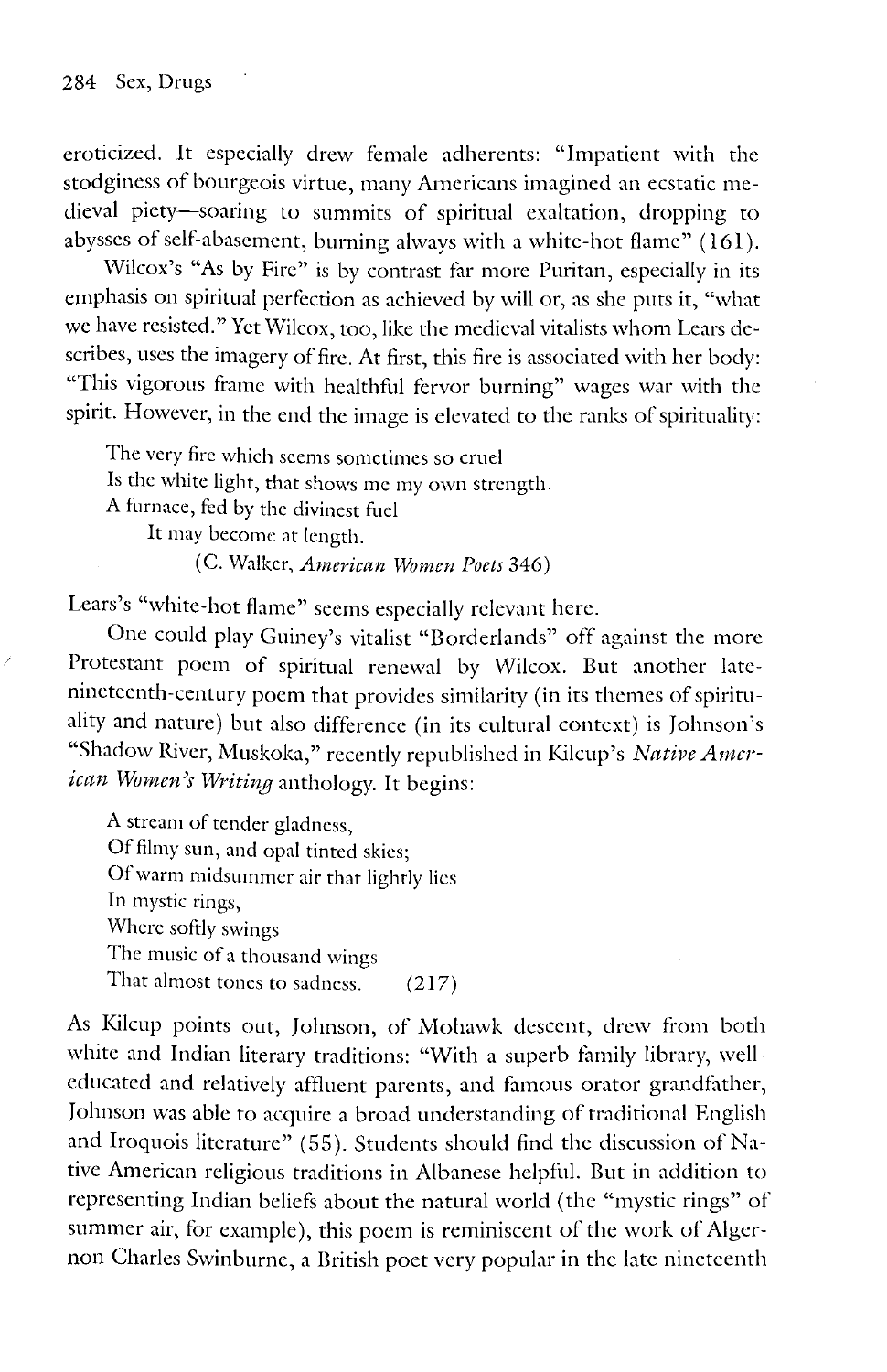eroticized. It especially drew female adherents: "Impatient with the stodginess of bourgeois virtue, many Americans imagined an ecstatic medieval piety-soaring to summits of spiritual exaltation, dropping to abysses of self-abasement, burning always with a white-hot flame" (161).

Wilcox's "As by Fire" is by contrast far more Puritan, especially in its emphasis on spiritual perfection as achieved by will or, as she puts it, "what we have resisted." Yet Wilcox, too, like the medieval vitalists whom Lears describes, uses the imagery of fire. At first, this fire is associated with her body: "This vigorous frame with healthful fervor burning" wages war with the spirit. However, in the end the image is elevated to the ranks of spirituality:

The very fire which seems sometimes so cruel Is the white light, that shows me my own strength. A furnace, fed by the divinest fuel It may become at length. (C. Walker, *American Women Poets* 346)

Lears's "white-hot flame" seems especially relevant here.

One could play Guiney's vitalist "Borderlands" off against the more Protestant poem of spiritual renewal by Wilcox. But another latenineteenth-century poem that provides similarity (in its themes of spirituality and nature) but also difference (in its cultural context) is Johnson's "Shadow River, Muskoka," recently republished in Kilcup's *Native American Women)s Writing* anthology. It begins:

A stream of tender gladness, Of filmy sun, and opal tinted skies; Of warm midsummer air that lightly lies In mystic rings, Where softly swings The music of a thousand wings That almost tones to sadness. (217)

As Kilcup points out, Johnson, of Mohawk descent, drew from both white and Indian literary traditions: "With a superb family library, welleducated and relatively affluent parents, and famous orator grandfather, Johnson was able to acquire a broad understanding of traditional English and Iroquois literature" (55). Students should find the discussion of Native American religious traditions in Albanese helpful. But in addition to representing Indian beliefs about the natural world (the "mystic rings" of summer air, for example), this poem is reminiscent of the work of Algernon Charles Swinburne, a British poet very popular in the late nineteenth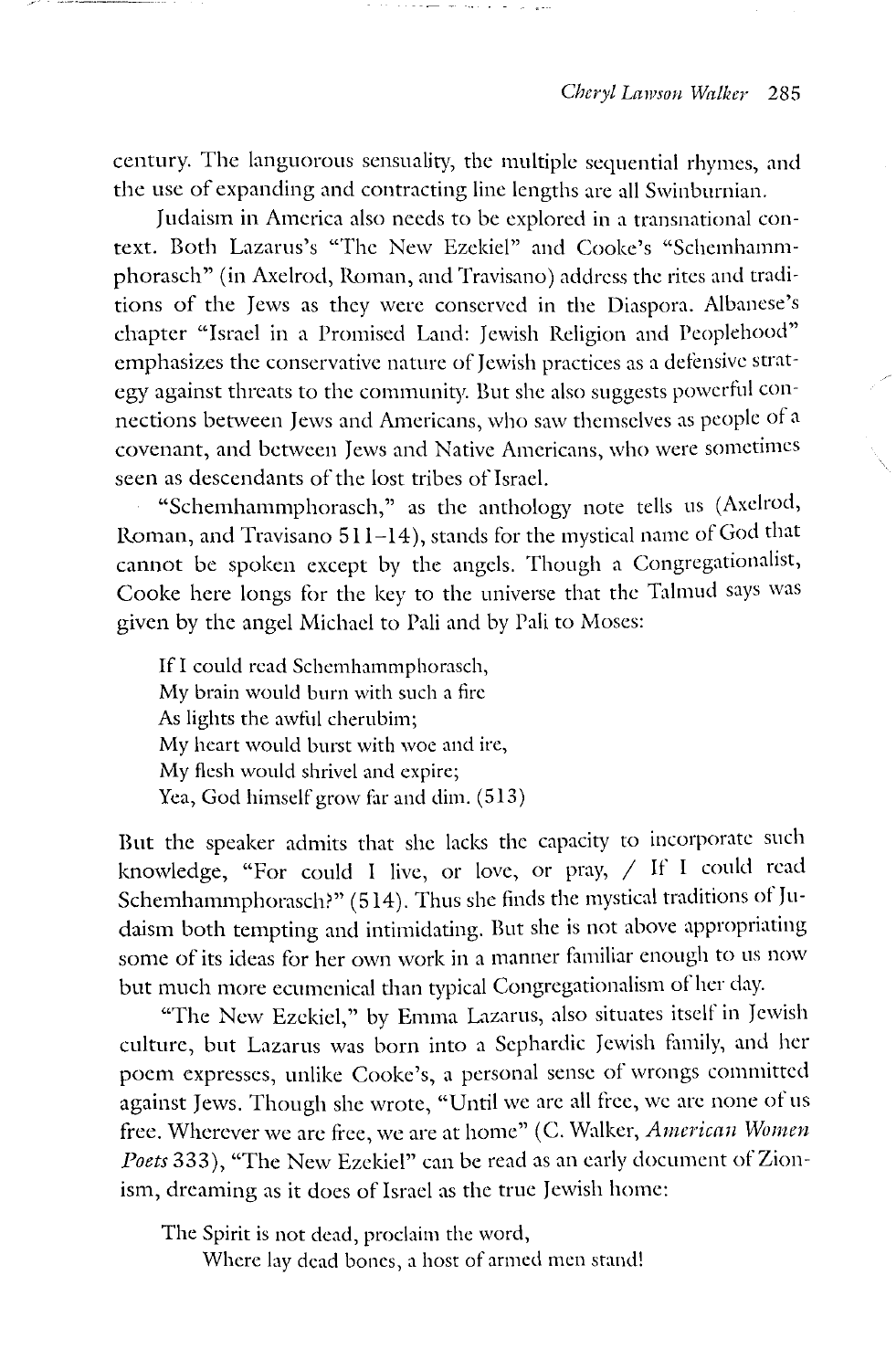century. The languorous sensuality, the multiple sequential rhymes, and the usc of expanding and contracting line lengths are all Swinburnian.

Judaism in America also needs to be explored in a transnational context. Both Lazarus's "The New Ezekiel" and Cooke's "Schemhammphorasch" (in Axelrod, Roman, and Travisano) address the rites and traditions of the Jews as they were conserved in the Diaspora. Albanese's chapter "Israel in a Promised Land: Jewish Religion and Peoplehood" emphasizes the conservative nature of Jewish practices as a defensive strategy against threats to the community. But she also suggests powerful connections between Jews and Americans, who saw themselves as people of a covenant, and between Jews and Native Americans, who were sometimes seen as descendants of the lost tribes of Israel.

"Schemhammphorasch," as the anthology note tells us (Axelrod, Roman, and Travisano 511-14 ), stands for the mystical name of God that cannot be spoken except by the angels. Though a Congregationalist, Cooke here longs for the key to the universe that the Talmud says was given by the angel Michael to Pali and by Pali to Moses:

If I could read Schemhammphorasch, My brain would burn with such a fire As lights the awful cherubim; My heart would burst with woe and ire, My flesh would shrivel and expire; Yea, God himself grow far and dim. (513)

But the speaker admits that she lacks the capacity to incorporate such knowledge, "For could I live, or love, or pray, / If I could read Schemhammphorasch?" (514). Thus she finds the mystical traditions of Judaism both tempting and intimidating. But she is not above appropriating some of its ideas for her own work in a manner familiar enough to us now but much more ecumenical than typical Congregationalism of her day.

"The New Ezekiel," by Emma Lazarus, also situates itself in Jewish culture, but Lazarus was born into a Sephardic Jewish family, and her poem expresses, unlike Cooke's, a personal sense of wrongs committed against Jews. Though she wrote, "Until we arc all free, we arc none of us free. Wherever we are free, we are at home" (C. Walker, American Women *Poets* 333), "The New Ezekiel" can be read as an early document of Zionism, dreaming as it does of Israel as the true Jewish home:

The Spirit is not dead, proclaim the word, Where lay dead bones, a host of armed men stand!